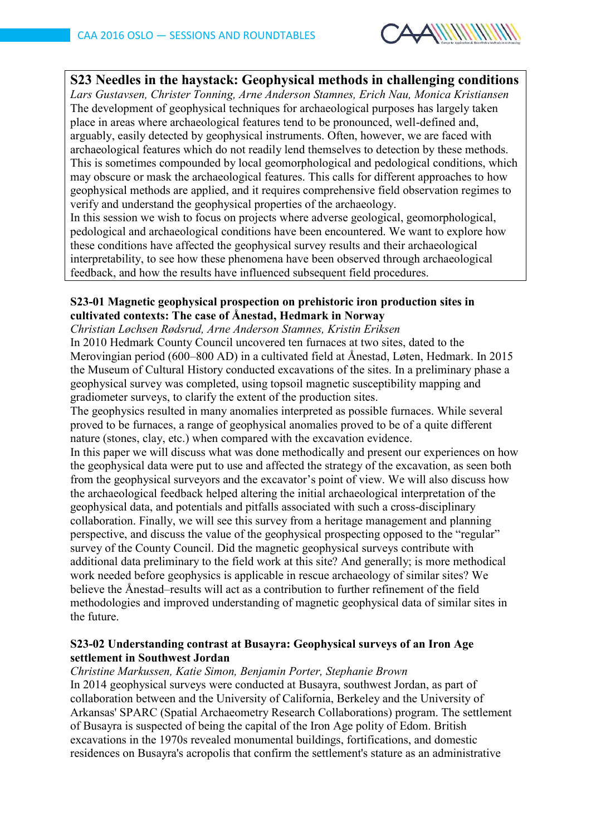

# **S23 Needles in the haystack: Geophysical methods in challenging conditions** *Lars Gustavsen, Christer Tonning, Arne Anderson Stamnes, Erich Nau, Monica Kristiansen* The development of geophysical techniques for archaeological purposes has largely taken place in areas where archaeological features tend to be pronounced, well-defined and, arguably, easily detected by geophysical instruments. Often, however, we are faced with archaeological features which do not readily lend themselves to detection by these methods. This is sometimes compounded by local geomorphological and pedological conditions, which

may obscure or mask the archaeological features. This calls for different approaches to how geophysical methods are applied, and it requires comprehensive field observation regimes to verify and understand the geophysical properties of the archaeology.

In this session we wish to focus on projects where adverse geological, geomorphological, pedological and archaeological conditions have been encountered. We want to explore how these conditions have affected the geophysical survey results and their archaeological interpretability, to see how these phenomena have been observed through archaeological feedback, and how the results have influenced subsequent field procedures.

## **S23-01 Magnetic geophysical prospection on prehistoric iron production sites in cultivated contexts: The case of Ånestad, Hedmark in Norway**

*Christian Løchsen Rødsrud, Arne Anderson Stamnes, Kristin Eriksen*

In 2010 Hedmark County Council uncovered ten furnaces at two sites, dated to the Merovingian period (600–800 AD) in a cultivated field at Ånestad, Løten, Hedmark. In 2015 the Museum of Cultural History conducted excavations of the sites. In a preliminary phase a geophysical survey was completed, using topsoil magnetic susceptibility mapping and gradiometer surveys, to clarify the extent of the production sites.

The geophysics resulted in many anomalies interpreted as possible furnaces. While several proved to be furnaces, a range of geophysical anomalies proved to be of a quite different nature (stones, clay, etc.) when compared with the excavation evidence.

In this paper we will discuss what was done methodically and present our experiences on how the geophysical data were put to use and affected the strategy of the excavation, as seen both from the geophysical surveyors and the excavator's point of view. We will also discuss how the archaeological feedback helped altering the initial archaeological interpretation of the geophysical data, and potentials and pitfalls associated with such a cross-disciplinary collaboration. Finally, we will see this survey from a heritage management and planning perspective, and discuss the value of the geophysical prospecting opposed to the "regular" survey of the County Council. Did the magnetic geophysical surveys contribute with additional data preliminary to the field work at this site? And generally; is more methodical work needed before geophysics is applicable in rescue archaeology of similar sites? We believe the Ånestad–results will act as a contribution to further refinement of the field methodologies and improved understanding of magnetic geophysical data of similar sites in the future.

# **S23-02 Understanding contrast at Busayra: Geophysical surveys of an Iron Age settlement in Southwest Jordan**

### *Christine Markussen, Katie Simon, Benjamin Porter, Stephanie Brown*

In 2014 geophysical surveys were conducted at Busayra, southwest Jordan, as part of collaboration between and the University of California, Berkeley and the University of Arkansas' SPARC (Spatial Archaeometry Research Collaborations) program. The settlement of Busayra is suspected of being the capital of the Iron Age polity of Edom. British excavations in the 1970s revealed monumental buildings, fortifications, and domestic residences on Busayra's acropolis that confirm the settlement's stature as an administrative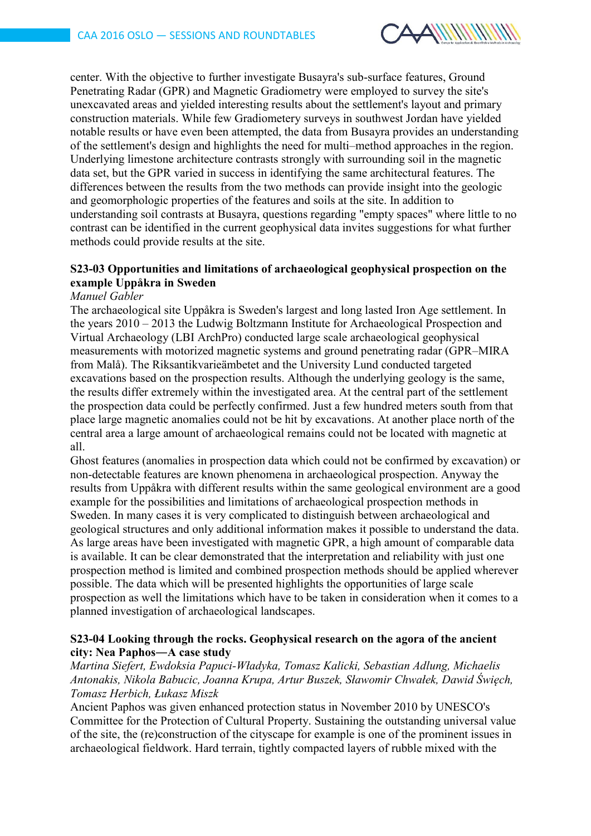

center. With the objective to further investigate Busayra's sub-surface features, Ground Penetrating Radar (GPR) and Magnetic Gradiometry were employed to survey the site's unexcavated areas and yielded interesting results about the settlement's layout and primary construction materials. While few Gradiometery surveys in southwest Jordan have yielded notable results or have even been attempted, the data from Busayra provides an understanding of the settlement's design and highlights the need for multi–method approaches in the region. Underlying limestone architecture contrasts strongly with surrounding soil in the magnetic data set, but the GPR varied in success in identifying the same architectural features. The differences between the results from the two methods can provide insight into the geologic and geomorphologic properties of the features and soils at the site. In addition to understanding soil contrasts at Busayra, questions regarding "empty spaces" where little to no contrast can be identified in the current geophysical data invites suggestions for what further methods could provide results at the site.

## **S23-03 Opportunities and limitations of archaeological geophysical prospection on the example Uppåkra in Sweden**

#### *Manuel Gabler*

The archaeological site Uppåkra is Sweden's largest and long lasted Iron Age settlement. In the years 2010 – 2013 the Ludwig Boltzmann Institute for Archaeological Prospection and Virtual Archaeology (LBI ArchPro) conducted large scale archaeological geophysical measurements with motorized magnetic systems and ground penetrating radar (GPR–MIRA from Malå). The Riksantikvarieämbetet and the University Lund conducted targeted excavations based on the prospection results. Although the underlying geology is the same, the results differ extremely within the investigated area. At the central part of the settlement the prospection data could be perfectly confirmed. Just a few hundred meters south from that place large magnetic anomalies could not be hit by excavations. At another place north of the central area a large amount of archaeological remains could not be located with magnetic at all.

Ghost features (anomalies in prospection data which could not be confirmed by excavation) or non-detectable features are known phenomena in archaeological prospection. Anyway the results from Uppåkra with different results within the same geological environment are a good example for the possibilities and limitations of archaeological prospection methods in Sweden. In many cases it is very complicated to distinguish between archaeological and geological structures and only additional information makes it possible to understand the data. As large areas have been investigated with magnetic GPR, a high amount of comparable data is available. It can be clear demonstrated that the interpretation and reliability with just one prospection method is limited and combined prospection methods should be applied wherever possible. The data which will be presented highlights the opportunities of large scale prospection as well the limitations which have to be taken in consideration when it comes to a planned investigation of archaeological landscapes.

### **S23-04 Looking through the rocks. Geophysical research on the agora of the ancient city: Nea Paphos―A case study**

*Martina Siefert, Ewdoksia Papuci-Władyka, Tomasz Kalicki, Sebastian Adlung, Michaelis Antonakis, Nikola Babucic, Joanna Krupa, Artur Buszek, Sławomir Chwałek, Dawid Święch, Tomasz Herbich, Łukasz Miszk*

Ancient Paphos was given enhanced protection status in November 2010 by UNESCO's Committee for the Protection of Cultural Property. Sustaining the outstanding universal value of the site, the (re)construction of the cityscape for example is one of the prominent issues in archaeological fieldwork. Hard terrain, tightly compacted layers of rubble mixed with the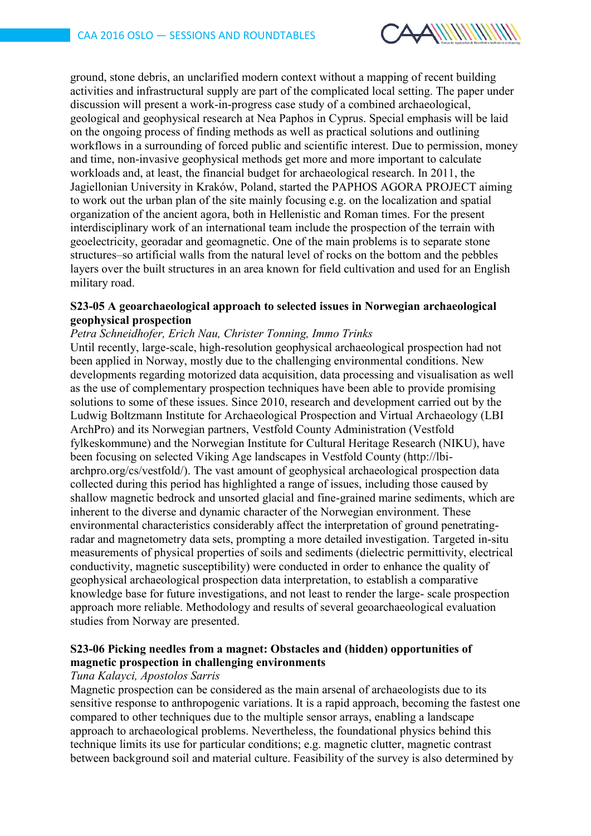

ground, stone debris, an unclarified modern context without a mapping of recent building activities and infrastructural supply are part of the complicated local setting. The paper under discussion will present a work-in-progress case study of a combined archaeological, geological and geophysical research at Nea Paphos in Cyprus. Special emphasis will be laid on the ongoing process of finding methods as well as practical solutions and outlining workflows in a surrounding of forced public and scientific interest. Due to permission, money and time, non-invasive geophysical methods get more and more important to calculate workloads and, at least, the financial budget for archaeological research. In 2011, the Jagiellonian University in Kraków, Poland, started the PAPHOS AGORA PROJECT aiming to work out the urban plan of the site mainly focusing e.g. on the localization and spatial organization of the ancient agora, both in Hellenistic and Roman times. For the present interdisciplinary work of an international team include the prospection of the terrain with geoelectricity, georadar and geomagnetic. One of the main problems is to separate stone structures–so artificial walls from the natural level of rocks on the bottom and the pebbles layers over the built structures in an area known for field cultivation and used for an English military road.

#### **S23-05 A geoarchaeological approach to selected issues in Norwegian archaeological geophysical prospection**

### *Petra Schneidhofer, Erich Nau, Christer Tonning, Immo Trinks*

Until recently, large-scale, high-resolution geophysical archaeological prospection had not been applied in Norway, mostly due to the challenging environmental conditions. New developments regarding motorized data acquisition, data processing and visualisation as well as the use of complementary prospection techniques have been able to provide promising solutions to some of these issues. Since 2010, research and development carried out by the Ludwig Boltzmann Institute for Archaeological Prospection and Virtual Archaeology (LBI ArchPro) and its Norwegian partners, Vestfold County Administration (Vestfold fylkeskommune) and the Norwegian Institute for Cultural Heritage Research (NIKU), have been focusing on selected Viking Age landscapes in Vestfold County (http://lbiarchpro.org/cs/vestfold/). The vast amount of geophysical archaeological prospection data collected during this period has highlighted a range of issues, including those caused by shallow magnetic bedrock and unsorted glacial and fine-grained marine sediments, which are inherent to the diverse and dynamic character of the Norwegian environment. These environmental characteristics considerably affect the interpretation of ground penetratingradar and magnetometry data sets, prompting a more detailed investigation. Targeted in-situ measurements of physical properties of soils and sediments (dielectric permittivity, electrical conductivity, magnetic susceptibility) were conducted in order to enhance the quality of geophysical archaeological prospection data interpretation, to establish a comparative knowledge base for future investigations, and not least to render the large- scale prospection approach more reliable. Methodology and results of several geoarchaeological evaluation studies from Norway are presented.

### **S23-06 Picking needles from a magnet: Obstacles and (hidden) opportunities of magnetic prospection in challenging environments**

#### *Tuna Kalayci, Apostolos Sarris*

Magnetic prospection can be considered as the main arsenal of archaeologists due to its sensitive response to anthropogenic variations. It is a rapid approach, becoming the fastest one compared to other techniques due to the multiple sensor arrays, enabling a landscape approach to archaeological problems. Nevertheless, the foundational physics behind this technique limits its use for particular conditions; e.g. magnetic clutter, magnetic contrast between background soil and material culture. Feasibility of the survey is also determined by